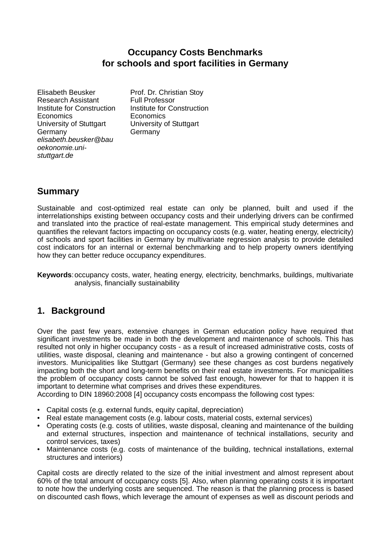## **Occupancy Costs Benchmarks for schools and sport facilities in Germany**

Elisabeth Beusker Research Assistant Institute for Construction **Economics** University of Stuttgart Germany *elisabeth.beusker@bau oekonomie.unistuttgart.de*

Prof. Dr. Christian Stoy Full Professor Institute for Construction **Economics** University of Stuttgart Germany

# **Summary**

Sustainable and cost-optimized real estate can only be planned, built and used if the interrelationships existing between occupancy costs and their underlying drivers can be confirmed and translated into the practice of real-estate management. This empirical study determines and quantifies the relevant factors impacting on occupancy costs (e.g. water, heating energy, electricity) of schools and sport facilities in Germany by multivariate regression analysis to provide detailed cost indicators for an internal or external benchmarking and to help property owners identifying how they can better reduce occupancy expenditures.

**Keywords**: occupancy costs, water, heating energy, electricity, benchmarks, buildings, multivariate analysis, financially sustainability

# **1. Background**

Over the past few years, extensive changes in German education policy have required that significant investments be made in both the development and maintenance of schools. This has resulted not only in higher occupancy costs - as a result of increased administrative costs, costs of utilities, waste disposal, cleaning and maintenance - but also a growing contingent of concerned investors. Municipalities like Stuttgart (Germany) see these changes as cost burdens negatively impacting both the short and long-term benefits on their real estate investments. For municipalities the problem of occupancy costs cannot be solved fast enough, however for that to happen it is important to determine what comprises and drives these expenditures.

According to DIN 18960:2008 [4] occupancy costs encompass the following cost types:

- Capital costs (e.g. external funds, equity capital, depreciation)
- Real estate management costs (e.g. labour costs, material costs, external services)
- Operating costs (e.g. costs of utilities, waste disposal, cleaning and maintenance of the building and external structures, inspection and maintenance of technical installations, security and control services, taxes)
- Maintenance costs (e.g. costs of maintenance of the building, technical installations, external structures and interiors)

Capital costs are directly related to the size of the initial investment and almost represent about 60% of the total amount of occupancy costs [5]. Also, when planning operating costs it is important to note how the underlying costs are sequenced. The reason is that the planning process is based on discounted cash flows, which leverage the amount of expenses as well as discount periods and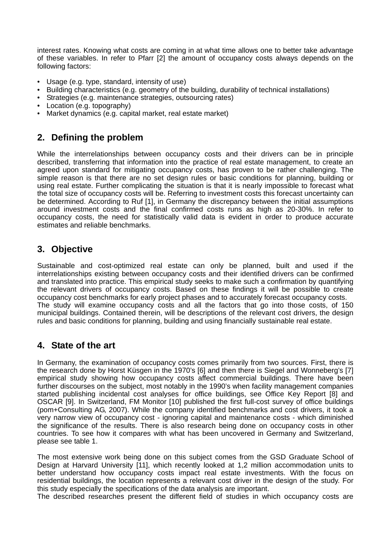interest rates. Knowing what costs are coming in at what time allows one to better take advantage of these variables. In refer to Pfarr [2] the amount of occupancy costs always depends on the following factors:

- Usage (e.g. type, standard, intensity of use)
- Building characteristics (e.g. geometry of the building, durability of technical installations)
- Strategies (e.g. maintenance strategies, outsourcing rates)
- Location (e.g. topography)
- Market dynamics (e.g. capital market, real estate market)

## **2. Defining the problem**

While the interrelationships between occupancy costs and their drivers can be in principle described, transferring that information into the practice of real estate management, to create an agreed upon standard for mitigating occupancy costs, has proven to be rather challenging. The simple reason is that there are no set design rules or basic conditions for planning, building or using real estate. Further complicating the situation is that it is nearly impossible to forecast what the total size of occupancy costs will be. Referring to investment costs this forecast uncertainty can be determined. According to Ruf [1], in Germany the discrepancy between the initial assumptions around investment costs and the final confirmed costs runs as high as 20-30%. In refer to occupancy costs, the need for statistically valid data is evident in order to produce accurate estimates and reliable benchmarks.

### **3. Objective**

Sustainable and cost-optimized real estate can only be planned, built and used if the interrelationships existing between occupancy costs and their identified drivers can be confirmed and translated into practice. This empirical study seeks to make such a confirmation by quantifying the relevant drivers of occupancy costs. Based on these findings it will be possible to create occupancy cost benchmarks for early project phases and to accurately forecast occupancy costs. The study will examine occupancy costs and all the factors that go into those costs, of 150 municipal buildings. Contained therein, will be descriptions of the relevant cost drivers, the design rules and basic conditions for planning, building and using financially sustainable real estate.

## **4. State of the art**

In Germany, the examination of occupancy costs comes primarily from two sources. First, there is the research done by Horst Küsgen in the 1970's [6] and then there is Siegel and Wonneberg's [7] empirical study showing how occupancy costs affect commercial buildings. There have been further discourses on the subject, most notably in the 1990's when facility management companies started publishing incidental cost analyses for office buildings, see Office Key Report [8] and OSCAR [9]. In Switzerland, FM Monitor [10] published the first full-cost survey of office buildings (pom+Consulting AG, 2007). While the company identified benchmarks and cost drivers, it took a very narrow view of occupancy cost - ignoring capital and maintenance costs - which diminished the significance of the results. There is also research being done on occupancy costs in other countries. To see how it compares with what has been uncovered in Germany and Switzerland, please see table 1.

The most extensive work being done on this subject comes from the GSD Graduate School of Design at Harvard University [11], which recently looked at 1,2 million accommodation units to better understand how occupancy costs impact real estate investments. With the focus on residential buildings, the location represents a relevant cost driver in the design of the study. For this study especially the specifications of the data analysis are important.

The described researches present the different field of studies in which occupancy costs are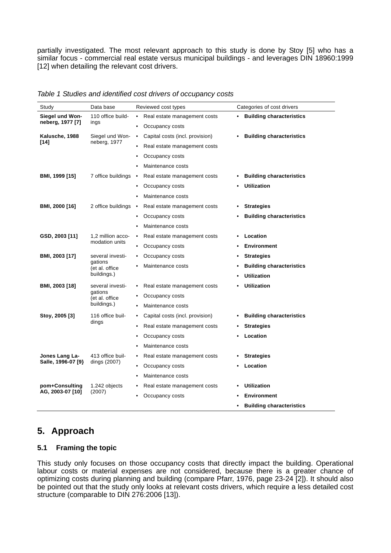partially investigated. The most relevant approach to this study is done by Stoy [5] who has a similar focus - commercial real estate versus municipal buildings - and leverages DIN 18960:1999 [12] when detailing the relevant cost drivers.

| Study                                | Data base                                                    | Reviewed cost types                       | Categories of cost drivers                   |
|--------------------------------------|--------------------------------------------------------------|-------------------------------------------|----------------------------------------------|
| Siegel und Won-<br>neberg, 1977 [7]  | 110 office build-<br>ings                                    | Real estate management costs<br>$\bullet$ | <b>Building characteristics</b><br>$\bullet$ |
|                                      |                                                              | Occupancy costs<br>٠                      |                                              |
| Kalusche, 1988<br>[14]               | Siegel und Won-<br>neberg, 1977                              | Capital costs (incl. provision)<br>٠      | <b>Building characteristics</b>              |
|                                      |                                                              | Real estate management costs              |                                              |
|                                      |                                                              | Occupancy costs                           |                                              |
|                                      |                                                              | Maintenance costs                         |                                              |
| BMI, 1999 [15]                       | 7 office buildings •                                         | Real estate management costs              | <b>Building characteristics</b>              |
|                                      |                                                              | Occupancy costs                           | <b>Utilization</b>                           |
|                                      |                                                              | Maintenance costs                         |                                              |
| BMI, 2000 [16]                       | 2 office buildings                                           | Real estate management costs<br>٠         | <b>Strategies</b>                            |
|                                      |                                                              | Occupancy costs                           | <b>Building characteristics</b>              |
|                                      |                                                              | Maintenance costs                         |                                              |
| GSD, 2003 [11]                       | 1,2 million acco-<br>modation units                          | Real estate management costs              | Location                                     |
|                                      |                                                              | Occupancy costs                           | <b>Environment</b>                           |
| BMI, 2003 [17]                       | several investi-<br>gations<br>(et al. office<br>buildings.) | Occupancy costs<br>٠                      | <b>Strategies</b><br>٠                       |
|                                      |                                                              | Maintenance costs                         | <b>Building characteristics</b>              |
|                                      |                                                              |                                           | <b>Utilization</b>                           |
| BMI, 2003 [18]                       | several investi-<br>gations<br>(et al. office<br>buildings.) | Real estate management costs<br>٠         | <b>Utilization</b>                           |
|                                      |                                                              | Occupancy costs                           |                                              |
|                                      |                                                              | Maintenance costs                         |                                              |
| Stoy, 2005 [3]                       | 116 office buil-<br>dings                                    | Capital costs (incl. provision)           | <b>Building characteristics</b>              |
|                                      |                                                              | Real estate management costs              | <b>Strategies</b>                            |
|                                      |                                                              | Occupancy costs                           | Location                                     |
|                                      |                                                              | Maintenance costs                         |                                              |
| Jones Lang La-<br>Salle, 1996-07 [9} | 413 office buil-<br>dings (2007)                             | Real estate management costs              | <b>Strategies</b>                            |
|                                      |                                                              | Occupancy costs                           | Location                                     |
|                                      |                                                              | Maintenance costs                         |                                              |
| pom+Consulting<br>AG, 2003-07 [10]   | 1.242 objects<br>(2007)                                      | Real estate management costs              | <b>Utilization</b>                           |
|                                      |                                                              | Occupancy costs                           | Environment                                  |
|                                      |                                                              |                                           | <b>Building characteristics</b><br>٠         |

*Table 1 Studies and identified cost drivers of occupancy costs* 

# **5. Approach**

### **5.1 Framing the topic**

This study only focuses on those occupancy costs that directly impact the building. Operational labour costs or material expenses are not considered, because there is a greater chance of optimizing costs during planning and building (compare Pfarr, 1976, page 23-24 [2]). It should also be pointed out that the study only looks at relevant costs drivers, which require a less detailed cost structure (comparable to DIN 276:2006 [13]).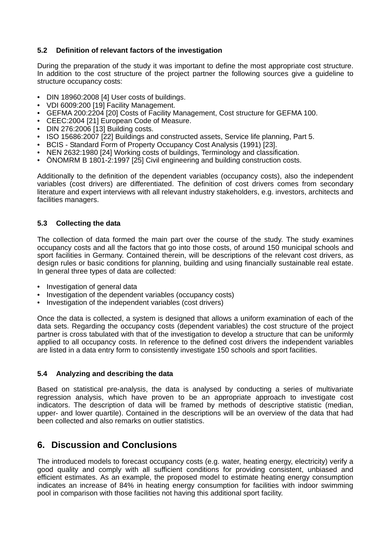### **5.2 Definition of relevant factors of the investigation**

During the preparation of the study it was important to define the most appropriate cost structure. In addition to the cost structure of the project partner the following sources give a guideline to structure occupancy costs:

- DIN 18960:2008 [4] User costs of buildings.
- VDI 6009:200 [19] Facility Management.
- GEFMA 200:2204 [20] Costs of Facility Management, Cost structure for GEFMA 100.
- CEEC:2004 [21] European Code of Measure.
- DIN 276:2006 [13] Building costs.
- ISO 15686:2007 [22] Buildings and constructed assets, Service life planning, Part 5.
- BCIS Standard Form of Property Occupancy Cost Analysis (1991) [23].
- NEN 2632:1980 [24] Working costs of buildings, Terminology and classification.
- ÖNOMRM B 1801-2:1997 [25] Civil engineering and building construction costs.

Additionally to the definition of the dependent variables (occupancy costs), also the independent variables (cost drivers) are differentiated. The definition of cost drivers comes from secondary literature and expert interviews with all relevant industry stakeholders, e.g. investors, architects and facilities managers.

### **5.3 Collecting the data**

The collection of data formed the main part over the course of the study. The study examines occupancy costs and all the factors that go into those costs, of around 150 municipal schools and sport facilities in Germany. Contained therein, will be descriptions of the relevant cost drivers, as design rules or basic conditions for planning, building and using financially sustainable real estate. In general three types of data are collected:

- Investigation of general data
- Investigation of the dependent variables (occupancy costs)
- Investigation of the independent variables (cost drivers)

Once the data is collected, a system is designed that allows a uniform examination of each of the data sets. Regarding the occupancy costs (dependent variables) the cost structure of the project partner is cross tabulated with that of the investigation to develop a structure that can be uniformly applied to all occupancy costs. In reference to the defined cost drivers the independent variables are listed in a data entry form to consistently investigate 150 schools and sport facilities.

#### **5.4 Analyzing and describing the data**

Based on statistical pre-analysis, the data is analysed by conducting a series of multivariate regression analysis, which have proven to be an appropriate approach to investigate cost indicators. The description of data will be framed by methods of descriptive statistic (median, upper- and lower quartile). Contained in the descriptions will be an overview of the data that had been collected and also remarks on outlier statistics.

### **6. Discussion and Conclusions**

The introduced models to forecast occupancy costs (e.g. water, heating energy, electricity) verify a good quality and comply with all sufficient conditions for providing consistent, unbiased and efficient estimates. As an example, the proposed model to estimate heating energy consumption indicates an increase of 84% in heating energy consumption for facilities with indoor swimming pool in comparison with those facilities not having this additional sport facility.